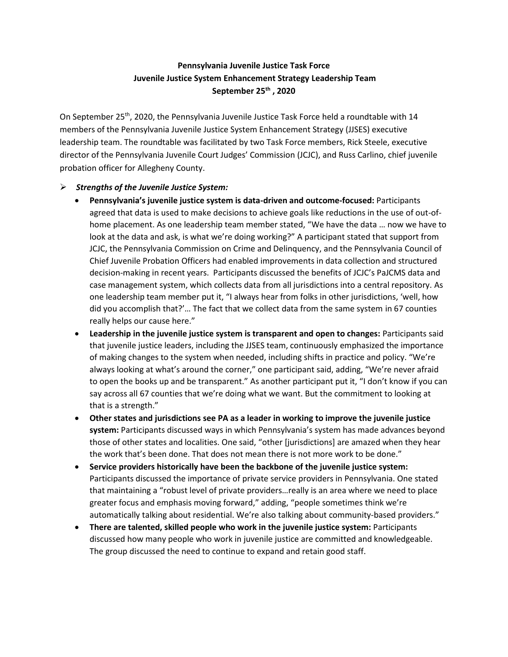## **Pennsylvania Juvenile Justice Task Force Juvenile Justice System Enhancement Strategy Leadership Team September 25th , 2020**

On September 25th, 2020, the Pennsylvania Juvenile Justice Task Force held a roundtable with 14 members of the Pennsylvania Juvenile Justice System Enhancement Strategy (JJSES) executive leadership team. The roundtable was facilitated by two Task Force members, Rick Steele, executive director of the Pennsylvania Juvenile Court Judges' Commission (JCJC), and Russ Carlino, chief juvenile probation officer for Allegheny County.

## ➢ *Strengths of the Juvenile Justice System:*

- **Pennsylvania's juvenile justice system is data-driven and outcome-focused:** Participants agreed that data is used to make decisions to achieve goals like reductions in the use of out-ofhome placement. As one leadership team member stated, "We have the data … now we have to look at the data and ask, is what we're doing working?" A participant stated that support from JCJC, the Pennsylvania Commission on Crime and Delinquency, and the Pennsylvania Council of Chief Juvenile Probation Officers had enabled improvements in data collection and structured decision-making in recent years. Participants discussed the benefits of JCJC's PaJCMS data and case management system, which collects data from all jurisdictions into a central repository. As one leadership team member put it, "I always hear from folks in other jurisdictions, 'well, how did you accomplish that?'… The fact that we collect data from the same system in 67 counties really helps our cause here."
- **Leadership in the juvenile justice system is transparent and open to changes:** Participants said that juvenile justice leaders, including the JJSES team, continuously emphasized the importance of making changes to the system when needed, including shifts in practice and policy. "We're always looking at what's around the corner," one participant said, adding, "We're never afraid to open the books up and be transparent." As another participant put it, "I don't know if you can say across all 67 counties that we're doing what we want. But the commitment to looking at that is a strength."
- **Other states and jurisdictions see PA as a leader in working to improve the juvenile justice system:** Participants discussed ways in which Pennsylvania's system has made advances beyond those of other states and localities. One said, "other [jurisdictions] are amazed when they hear the work that's been done. That does not mean there is not more work to be done."
- **Service providers historically have been the backbone of the juvenile justice system:** Participants discussed the importance of private service providers in Pennsylvania. One stated that maintaining a "robust level of private providers…really is an area where we need to place greater focus and emphasis moving forward," adding, "people sometimes think we're automatically talking about residential. We're also talking about community-based providers."
- **There are talented, skilled people who work in the juvenile justice system:** Participants discussed how many people who work in juvenile justice are committed and knowledgeable. The group discussed the need to continue to expand and retain good staff.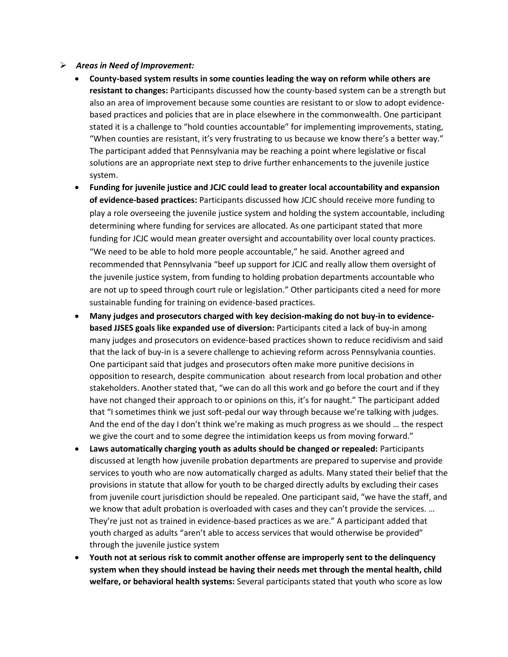## ➢ *Areas in Need of Improvement:*

- **County-based system results in some counties leading the way on reform while others are resistant to changes:** Participants discussed how the county-based system can be a strength but also an area of improvement because some counties are resistant to or slow to adopt evidencebased practices and policies that are in place elsewhere in the commonwealth. One participant stated it is a challenge to "hold counties accountable" for implementing improvements, stating, "When counties are resistant, it's very frustrating to us because we know there's a better way." The participant added that Pennsylvania may be reaching a point where legislative or fiscal solutions are an appropriate next step to drive further enhancements to the juvenile justice system.
- **Funding for juvenile justice and JCJC could lead to greater local accountability and expansion of evidence-based practices:** Participants discussed how JCJC should receive more funding to play a role overseeing the juvenile justice system and holding the system accountable, including determining where funding for services are allocated. As one participant stated that more funding for JCJC would mean greater oversight and accountability over local county practices. "We need to be able to hold more people accountable," he said. Another agreed and recommended that Pennsylvania "beef up support for JCJC and really allow them oversight of the juvenile justice system, from funding to holding probation departments accountable who are not up to speed through court rule or legislation." Other participants cited a need for more sustainable funding for training on evidence-based practices.
- **Many judges and prosecutors charged with key decision-making do not buy-in to evidencebased JJSES goals like expanded use of diversion:** Participants cited a lack of buy-in among many judges and prosecutors on evidence-based practices shown to reduce recidivism and said that the lack of buy-in is a severe challenge to achieving reform across Pennsylvania counties. One participant said that judges and prosecutors often make more punitive decisions in opposition to research, despite communication about research from local probation and other stakeholders. Another stated that, "we can do all this work and go before the court and if they have not changed their approach to or opinions on this, it's for naught." The participant added that "I sometimes think we just soft-pedal our way through because we're talking with judges. And the end of the day I don't think we're making as much progress as we should … the respect we give the court and to some degree the intimidation keeps us from moving forward."
- **Laws automatically charging youth as adults should be changed or repealed:** Participants discussed at length how juvenile probation departments are prepared to supervise and provide services to youth who are now automatically charged as adults. Many stated their belief that the provisions in statute that allow for youth to be charged directly adults by excluding their cases from juvenile court jurisdiction should be repealed. One participant said, "we have the staff, and we know that adult probation is overloaded with cases and they can't provide the services. … They're just not as trained in evidence-based practices as we are." A participant added that youth charged as adults "aren't able to access services that would otherwise be provided" through the juvenile justice system
- **Youth not at serious risk to commit another offense are improperly sent to the delinquency system when they should instead be having their needs met through the mental health, child welfare, or behavioral health systems:** Several participants stated that youth who score as low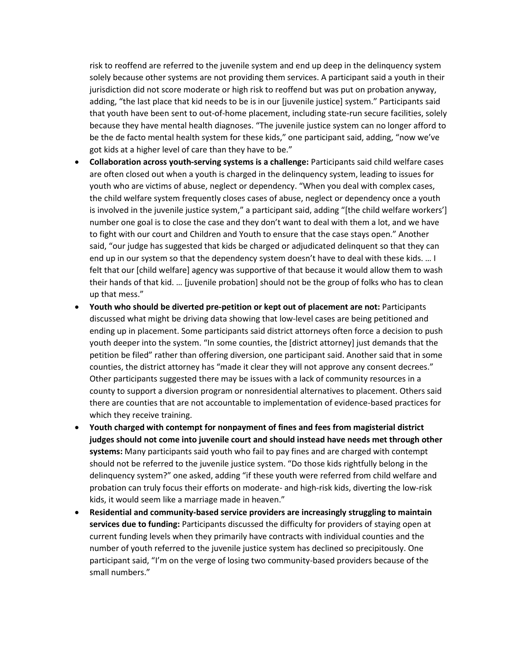risk to reoffend are referred to the juvenile system and end up deep in the delinquency system solely because other systems are not providing them services. A participant said a youth in their jurisdiction did not score moderate or high risk to reoffend but was put on probation anyway, adding, "the last place that kid needs to be is in our [juvenile justice] system." Participants said that youth have been sent to out-of-home placement, including state-run secure facilities, solely because they have mental health diagnoses. "The juvenile justice system can no longer afford to be the de facto mental health system for these kids," one participant said, adding, "now we've got kids at a higher level of care than they have to be."

- **Collaboration across youth-serving systems is a challenge:** Participants said child welfare cases are often closed out when a youth is charged in the delinquency system, leading to issues for youth who are victims of abuse, neglect or dependency. "When you deal with complex cases, the child welfare system frequently closes cases of abuse, neglect or dependency once a youth is involved in the juvenile justice system," a participant said, adding "[the child welfare workers'] number one goal is to close the case and they don't want to deal with them a lot, and we have to fight with our court and Children and Youth to ensure that the case stays open." Another said, "our judge has suggested that kids be charged or adjudicated delinquent so that they can end up in our system so that the dependency system doesn't have to deal with these kids. … I felt that our [child welfare] agency was supportive of that because it would allow them to wash their hands of that kid. … [juvenile probation] should not be the group of folks who has to clean up that mess."
- **Youth who should be diverted pre-petition or kept out of placement are not:** Participants discussed what might be driving data showing that low-level cases are being petitioned and ending up in placement. Some participants said district attorneys often force a decision to push youth deeper into the system. "In some counties, the [district attorney] just demands that the petition be filed" rather than offering diversion, one participant said. Another said that in some counties, the district attorney has "made it clear they will not approve any consent decrees." Other participants suggested there may be issues with a lack of community resources in a county to support a diversion program or nonresidential alternatives to placement. Others said there are counties that are not accountable to implementation of evidence-based practices for which they receive training.
- **Youth charged with contempt for nonpayment of fines and fees from magisterial district judges should not come into juvenile court and should instead have needs met through other systems:** Many participants said youth who fail to pay fines and are charged with contempt should not be referred to the juvenile justice system. "Do those kids rightfully belong in the delinquency system?" one asked, adding "if these youth were referred from child welfare and probation can truly focus their efforts on moderate- and high-risk kids, diverting the low-risk kids, it would seem like a marriage made in heaven."
- **Residential and community-based service providers are increasingly struggling to maintain services due to funding:** Participants discussed the difficulty for providers of staying open at current funding levels when they primarily have contracts with individual counties and the number of youth referred to the juvenile justice system has declined so precipitously. One participant said, "I'm on the verge of losing two community-based providers because of the small numbers."